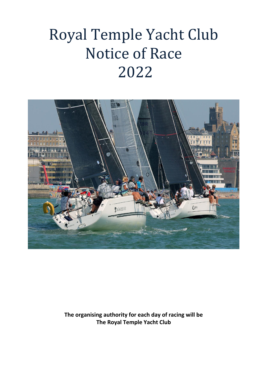# Royal Temple Yacht Club Notice of Race 2022



**The organising authority for each day of racing will be The Royal Temple Yacht Club**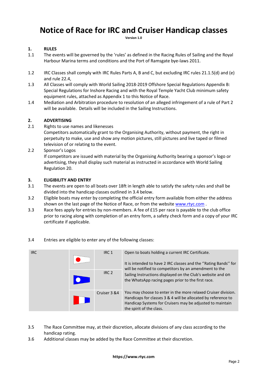# **Notice of Race for IRC and Cruiser Handicap classes**

**Version 1.0**

# **1. RULES**

- 1.1 The events will be governed by the 'rules' as defined in the Racing Rules of Sailing and the Royal Harbour Marina terms and conditions and the Port of Ramsgate bye-laws 2011.
- 1.2 IRC Classes shall comply with IRC Rules Parts A, B and C, but excluding IRC rules 21.1.5(d) and (e) and rule 22.4,
- 1.3 All Classes will comply with World Sailing 2018-2019 Offshore Special Regulations Appendix B: Special Regulations for Inshore Racing and with the Royal Temple Yacht Club minimum safety equipment rules, attached as Appendix 1 to this Notice of Race.
- 1.4 Mediation and Arbitration procedure to resolution of an alleged infringement of a rule of Part 2 will be available. Details will be included in the Sailing Instructions.

# **2. ADVERTISING**

2.1 Rights to use names and likenesses

Competitors automatically grant to the Organising Authority, without payment, the right in perpetuity to make, use and show any motion pictures, still pictures and live taped or filmed television of or relating to the event.

2.2 Sponsor's Logos

If competitors are issued with material by the Organising Authority bearing a sponsor's logo or advertising, they shall display such material as instructed in accordance with World Sailing Regulation 20.

# **3. ELIGIBILITY AND ENTRY**

- 3.1 The events are open to all boats over 18ft in length able to satisfy the safety rules and shall be divided into the handicap classes outlined in 3.4 below.
- 3.2 Eligible boats may enter by completing the official entry form available from either the address shown on the last page of the Notice of Race, or from the websit[e www.rtyc.com](http://www.rtyc.com/) .
- 3.3 Race fees apply for entries by non-members. A fee of £15 per race is payable to the club office prior to racing along with completion of an entry form, a safety check form and a copy of your IRC certificate if applicable.



3.4 Entries are eligible to enter any of the following classes:

- 3.5 The Race Committee may, at their discretion, allocate divisions of any class according to the handicap rating.
- 3.6 Additional classes may be added by the Race Committee at their discretion.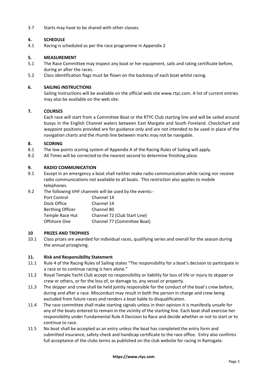3.7 Starts may have to be shared with other classes.

# **4. SCHEDULE**

4.1 Racing is scheduled as per the race programme in Appendix 2

# **5. MEASUREMENT**

- 5.1 The Race Committee may inspect any boat or her equipment, sails and rating certificate before, during or after the races.
- 5.2 Class identification flags must be flown on the backstay of each boat whilst racing.

# **6. SAILING INSTRUCTIONS**

Sailing Instructions will be available on the official web site www.rtyc.com. A list of current entries may also be available on the web site.

# **7. COURSES**

Each race will start from a Committee Boat or the RTYC Club starting line and will be sailed around buoys in the English Channel waters between East Margate and South Foreland. Checkchart and waypoint positions provided are for guidance only and are not intended to be used in place of the navigation charts and the rhumb line between marks may not be navigable.

# **8. SCORING**

- 8.1 The low points scoring system of Appendix A of the Racing Rules of Sailing will apply.
- 8.2 All Times will be corrected to the nearest second to determine finishing place.

# **9. RADIO COMMUNICATION**

- 9.1 Except in an emergency a boat shall neither make radio communication while racing nor receive radio communications not available to all boats. This restriction also applies to mobile telephones.
- 9.2 The following VHF channels will be used by the events:-

| Port Control            | Channel 14                   |
|-------------------------|------------------------------|
| Dock Office             | Channel 14                   |
| <b>Berthing Officer</b> | Channel 80                   |
| Temple Race Hut         | Channel 72 (Club Start Line) |
| Offshore One            | Channel 77 (Committee Boat)  |

#### **10 PRIZES AND TROPHIES**

10.1 Class prizes are awarded for individual races, qualifying series and overall for the season during the annual prizegiving.

#### **11. Risk and Responsibility Statement**

- 11.1 Rule 4 of the Racing Rules of Sailing states "The responsibility for a boat's decision to participate in a race or to continue racing is hers alone."
- 11.2 Royal Temple Yacht Club accept no responsibility or liability for loss of life or injury to skipper or crew or others, or for the loss of, or damage to, any vessel or property.
- 11.3 The skipper and crew shall be held jointly responsible for the conduct of the boat's crew before, during and after a race. Misconduct may result in both the person in charge and crew being excluded from future races and renders a boat liable to disqualification.
- 11.4 The race committee shall make starting signals unless in their opinion it is manifestly unsafe for any of the boats entered to remain in the vicinity of the starting line. Each boat shall exercise her responsibility under Fundamental Rule 4 Decision to Race and decide whether or not to start or to continue to race.
- 11.5 No boat shall be accepted as an entry unless the boat has completed the entry form and submitted insurance, safety check and handicap certificate to the race office. Entry also confirms full acceptance of the clubs terms as published on the club website for racing in Ramsgate.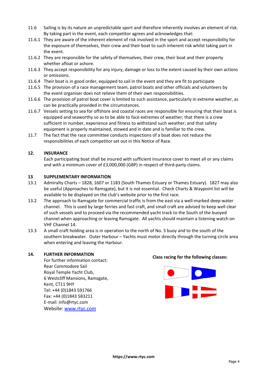- 11.6 Sailing is by its nature an unpredictable sport and therefore inherently involves an element of risk. By taking part in the event, each competitor agrees and acknowledges that:
- 11.6.1 They are aware of the inherent element of risk involved in the sport and accept responsibility for the exposure of themselves, their crew and their boat to such inherent risk whilst taking part in the event.
- 11.6.2 They are responsible for the safety of themselves, their crew, their boat and their property whether afloat or ashore.
- 11.6.3 They accept responsibility for any injury, damage or loss to the extent caused by their own actions or omissions.
- 11.6.4 Their boat is in good order, equipped to sail in the event and they are fit to participate
- 11.6.5 The provision of a race management team, patrol boats and other officials and volunteers by the event organiser does not relieve them of their own responsibilities.
- 11.6.6 The provision of patrol boat cover is limited to such assistance, particularly in extreme weather, as can be practically provided in the circumstances.
- 11.6.7 Vessels setting to sea for offshore and coastal races are responsible for ensuring that their boat is equipped and seaworthy so as to be able to face extremes of weather; that there is a crew sufficient in number, experience and fitness to withstand such weather; and that safety equipment is properly maintained, stowed and in date and is familiar to the crew.
- 11.7 The fact that the race committee conducts inspections of a boat does not reduce the responsibilities of each competitor set out in this Notice of Race.

# **12. INSURANCE**

Each participating boat shall be insured with sufficient insurance cover to meet all or any claims and with a minimum cover of £3,000,000 (GBP) in respect of third-party claims.

# **13 SUPPLEMENTARY INFORMATION**

- 13.1 Admiralty Charts 1828, 1607 or 1183 (South Thames Estuary or Thames Estuary). 1827 may also be useful (Approaches to Ramsgate), but it is not essential. Check Charts & Waypoint list will be available to be displayed on the club's website prior to the first race.
- 13.2 The approach to Ramsgate for commercial traffic is from the east via a well-marked deep-water channel. This is used by large ferries and fast craft, and small craft are advised to keep well clear of such vessels and to proceed via the recommended yacht track to the South of the buoyed channel when approaching or leaving Ramsgate. All yachts should maintain a listening watch on VHF Channel 14.
- 13.3 A small craft holding area is in operation to the north of No. 3 buoy and to the south of the southern breakwater. Outer Harbour – Yachts must motor directly through the turning circle area when entering and leaving the Harbour.

#### **14. FURTHER INFORMATION**

For further information contact: Rear Commodore Sail Royal Temple Yacht Club, 6 Westcliff Mansions, Ramsgate, Kent, CT11 9HY Tel: +44 (0)1843 591766 Fax: +44 (0)1843 583211 E-mail: info@rtyc.com Website: [www.rtyc.com](http://www.rtyc.com/)

#### **Class racing for the following classes:**